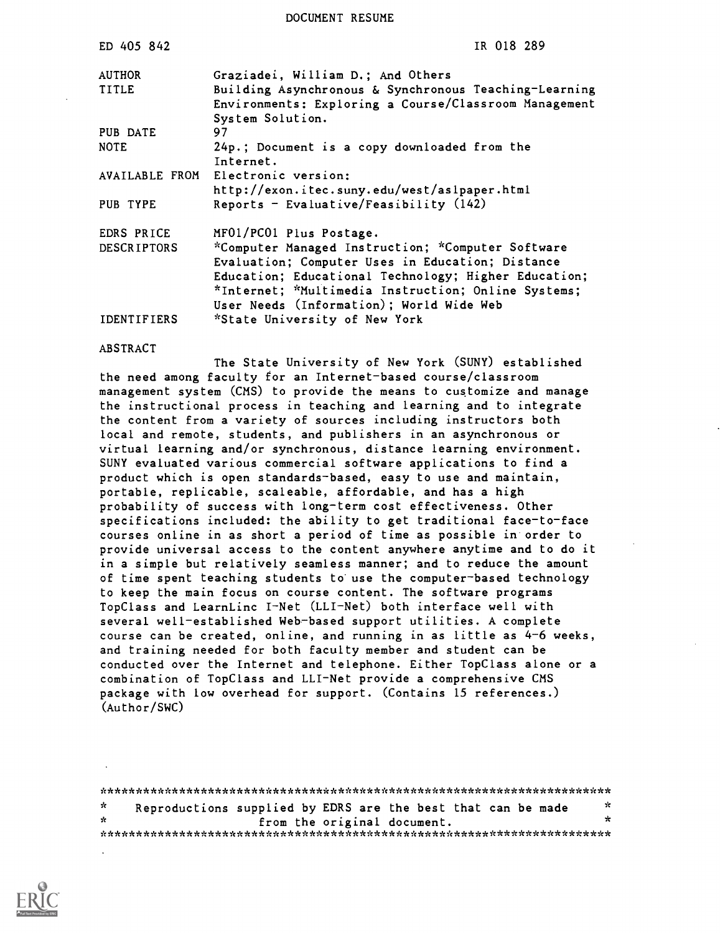DOCUMENT RESUME

| ED 405 842         | IR 018 289                                                |
|--------------------|-----------------------------------------------------------|
| <b>AUTHOR</b>      | Graziadei, William D.; And Others                         |
| <b>TITLE</b>       | Building Asynchronous & Synchronous Teaching-Learning     |
|                    | Environments: Exploring a Course/Classroom Management     |
| PUB DATE           | System Solution.<br>97                                    |
| <b>NOTE</b>        | 24p.; Document is a copy downloaded from the<br>Internet. |
|                    | AVAILABLE FROM Electronic version:                        |
|                    | http://exon.itec.suny.edu/west/aslpaper.html              |
| PUB TYPE           | Reports - Evaluative/Feasibility $(142)$                  |
| EDRS PRICE         | MF01/PC01 Plus Postage.                                   |
| <b>DESCRIPTORS</b> | *Computer Managed Instruction; *Computer Software         |
|                    | Evaluation; Computer Uses in Education; Distance          |
|                    | Education; Educational Technology; Higher Education;      |
|                    | *Internet; *Multimedia Instruction; Online Systems;       |
|                    | User Needs (Information); World Wide Web                  |
| IDENTIFIERS        | *State University of New York                             |

ABSTRACT

The State University of New York (SUNY) established the need among faculty for an Internet-based course/classroom management system (CMS) to provide the means to customize and manage the instructional process in teaching and learning and to integrate the content from a variety of sources including instructors both local and remote, students, and publishers in an asynchronous or virtual learning and/or synchronous, distance learning environment. SUNY evaluated various commercial software applications to find a product which is open standards-based, easy to use and maintain, portable, replicable, scaleable, affordable, and has a high probability of success with long-term cost effectiveness. Other specifications included: the ability to get traditional face-to-face courses online in as short a period of time as possible in order to provide universal access to the content anywhere anytime and to do it in a simple but relatively seamless manner; and to reduce the amount of time spent teaching students to use the computer-based technology to keep the main focus on course content. The software programs TopClass and LearnLinc I-Net (LLI-Net) both interface well with several well-established Web-based support utilities. A complete course can be created, online, and running in as little as 4-6 weeks, and training needed for both faculty member and student can be conducted over the Internet and telephone. Either TopClass alone or a combination of TopClass and LLI-Net provide a comprehensive CMS package with low overhead for support. (Contains 15 references.) (Author/SWC)

\*\*\*\*\*\*\*\*\*\*\*\*\*\*\*\*\*\*\*\*\*\*\*\*\*\*\*\*\*\*\*\*\*\*\*\*\*\*\*\*\*\*\*\*\*\*\*\*\*\*\*\*\*\*\*\*\*\*\*\*\*\*\*\*\*\*\*\*\*\*\* Reproductions supplied by EDRS are the best that can be made  $\phi$  $\star$ from the original document. \*\*\*\*\*\*\*\*\*\*\*\*\*\*\*\*\*\*\*\*\*\*\*\*\*\*\*\*\*\*\*\*\*\*\*\*\*\*\*\*\*\*\*\*\*\*\*\*\*\*\*\*\*\*\*\*\*\*\*\*\*\*\*\*\*\*\*\*\*\*\*

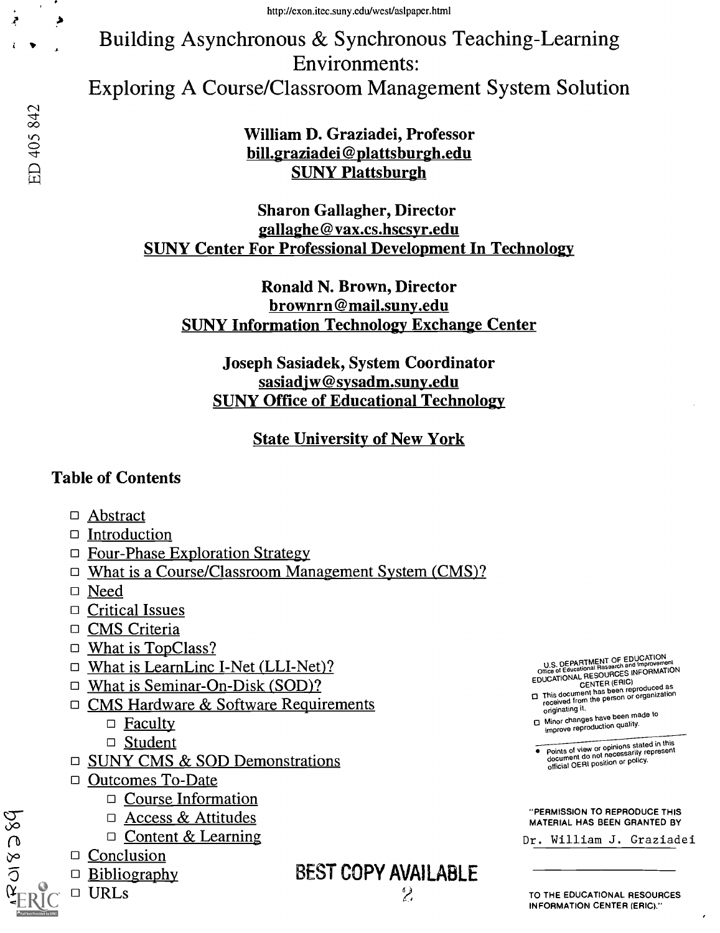Building Asynchronous & Synchronous Teaching-Learning Environments: Exploring A Course/Classroom Management System Solution

> William D. Graziadei, Professor bill.graziadei@plattsburgh.edu SUNY Plattsburgh

Sharon Gallagher, Director gallaghe@vax.cs.hscsyr.edu SUNY Center For Professional Development In Technology

Ronald N. Brown, Director brownrn@mail.suny.edu SUNY Information Technology Exchange Center

Joseph Sasiadek, System Coordinator sasiadjw@sysadm.suny.edu SUNY Office of Educational Technology

State University of New York

#### Table of Contents

- □ Abstract
- $\Box$  Introduction
- □ Four-Phase Exploration Strategy
- □ What is a Course/Classroom Management System (CMS)?
- Need
- □ Critical Issues
- □ CMS Criteria
- $\Box$  What is TopClass?
- $\Box$  What is LearnLinc I-Net (LLI-Net)?
- □ What is Seminar-On-Disk (SOD)?
- □ CMS Hardware & Software Requirements
	- $\Box$  Faculty
	- □ Student
- □ SUNY CMS & SOD Demonstrations
- □ Outcomes To-Date
	- $\Box$  Course Information
	- $\Box$  Access & Attitudes
	- $\Box$  Content & Learning
- lb  $\Box$  Conclusion
	- $\Box$  Bibliography
	- URLs

 $\tilde{\Omega}$  and  $\tilde{\Omega}$ 

BEST COPY AVAILABLE

 $\mathbf 2$ 

U.S. DEPARTMENT OF EDUCATION<br>Office of Educational Research and Improvement<br>EDUCATIONAL RESOURCES INFORMATION<br>EDUCATIONAL CENTER (ERIC)

CENTER (CITTER PIPP)<br>This document has been reproduced as<br>received from the person or organization

originating it. Minor changes have been made to improve reproduction quality.

Points of view or opinions stated in this document do not necessarily represent official OERI position or policy.

"PERMISSION TO REPRODUCE THIS MATERIAL HAS BEEN GRANTED BY

Dr. William J. Graziadei

م

Ą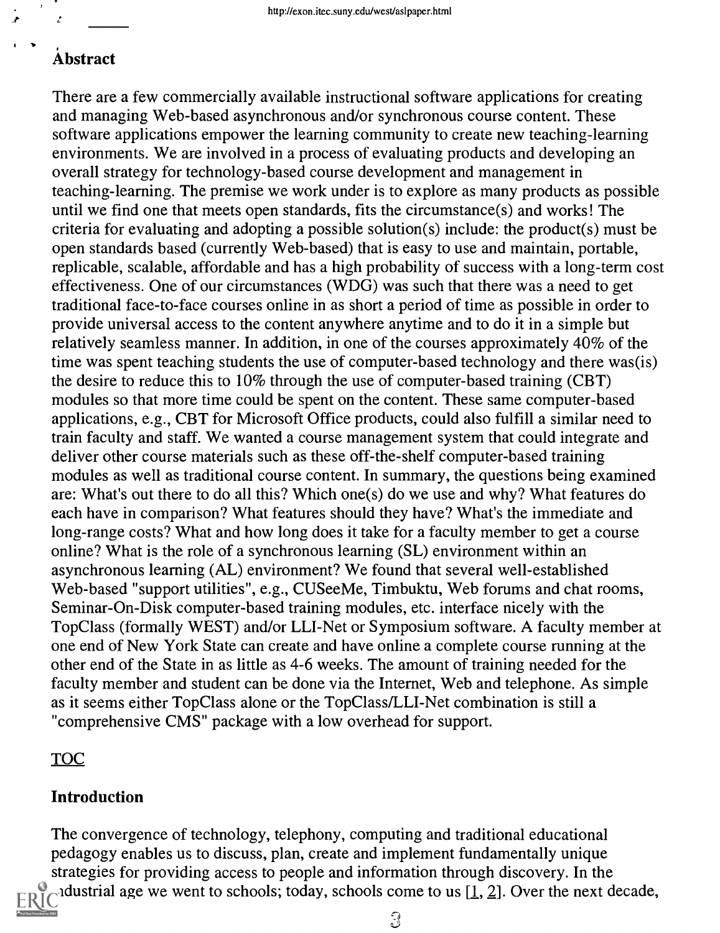#### Abstract

 $\mathcal{L}$ 

Ż,

There are a few commercially available instructional software applications for creating and managing Web-based asynchronous and/or synchronous course content. These software applications empower the learning community to create new teaching-learning environments. We are involved in a process of evaluating products and developing an overall strategy for technology-based course development and management in teaching-learning. The premise we work under is to explore as many products as possible until we find one that meets open standards, fits the circumstance(s) and works! The criteria for evaluating and adopting a possible solution(s) include: the product(s) must be open standards based (currently Web-based) that is easy to use and maintain, portable, replicable, scalable, affordable and has a high probability of success with a long-term cost effectiveness. One of our circumstances (WDG) was such that there was a need to get traditional face-to-face courses online in as short a period of time as possible in order to provide universal access to the content anywhere anytime and to do it in a simple but relatively seamless manner. In addition, in one of the courses approximately 40% of the time was spent teaching students the use of computer-based technology and there was(is) the desire to reduce this to 10% through the use of computer-based training (CBT) modules so that more time could be spent on the content. These same computer-based applications, e.g., CBT for Microsoft Office products, could also fulfill a similar need to train faculty and staff. We wanted a course management system that could integrate and deliver other course materials such as these off-the-shelf computer-based training modules as well as traditional course content. In summary, the questions being examined are: What's out there to do all this? Which one(s) do we use and why? What features do each have in comparison? What features should they have? What's the immediate and long-range costs? What and how long does it take for a faculty member to get a course online? What is the role of a synchronous learning (SL) environment within an asynchronous learning (AL) environment? We found that several well-established Web-based "support utilities", e.g., CUSeeMe, Timbuktu, Web forums and chat rooms, Seminar-On-Disk computer-based training modules, etc. interface nicely with the Top Class (formally WEST) and/or LLI-Net or Symposium software. A faculty member at one end of New York State can create and have online a complete course running at the other end of the State in as little as 4-6 weeks. The amount of training needed for the faculty member and student can be done via the Internet, Web and telephone. As simple as it seems either TopClass alone or the TopClass/LLI-Net combination is still a "comprehensive CMS" package with a low overhead for support.

#### TOC

#### Introduction

The convergence of technology, telephony, computing and traditional educational pedagogy enables us to discuss, plan, create and implement fundamentally unique strategies for providing access to people and information through discovery. In the  $\sim$  dustrial age we went to schools; today, schools come to us [1, 2]. Over the next decade,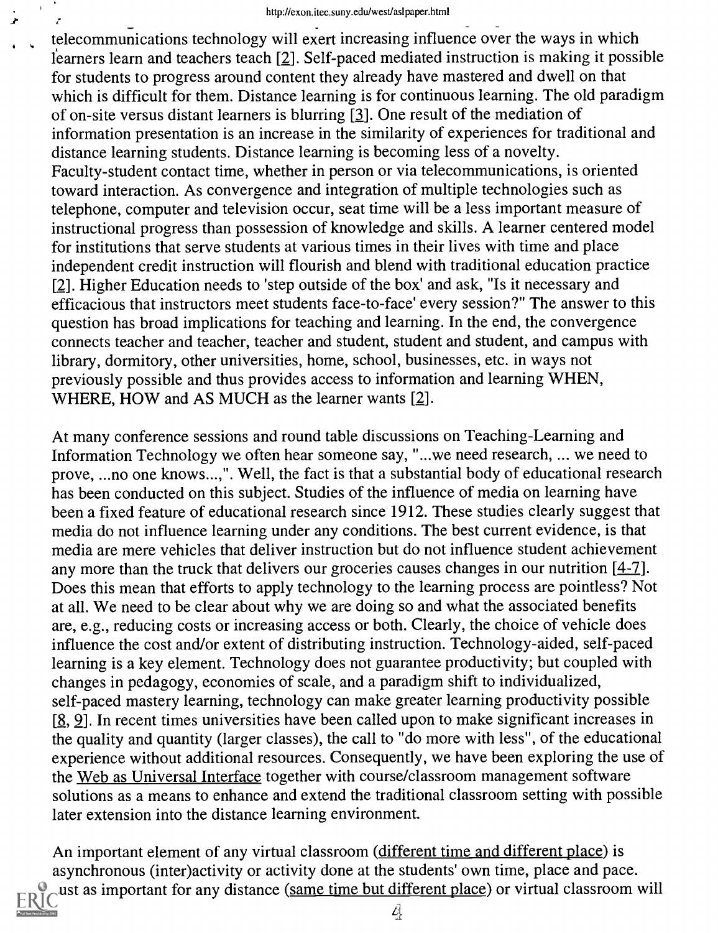telecommunications technology will exert increasing influence over the ways in which i learners learn and teachers teach [2]. Self-paced mediated instruction is making it possible for students to progress around content they already have mastered and dwell on that which is difficult for them. Distance learning is for continuous learning. The old paradigm of on-site versus distant learners is blurring [3]. One result of the mediation of information presentation is an increase in the similarity of experiences for traditional and distance learning students. Distance learning is becoming less of a novelty. Faculty-student contact time, whether in person or via telecommunications, is oriented toward interaction. As convergence and integration of multiple technologies such as telephone, computer and television occur, seat time will be a less important measure of instructional progress than possession of knowledge and skills. A learner centered model for institutions that serve students at various times in their lives with time and place independent credit instruction will flourish and blend with traditional education practice [2]. Higher Education needs to 'step outside of the box' and ask, "Is it necessary and efficacious that instructors meet students face-to-face' every session?" The answer to this question has broad implications for teaching and learning. In the end, the convergence connects teacher and teacher, teacher and student, student and student, and campus with library, dormitory, other universities, home, school, businesses, etc. in ways not previously possible and thus provides access to information and learning WHEN, WHERE, HOW and AS MUCH as the learner wants [2].

At many conference sessions and round table discussions on Teaching-Learning and Information Technology we often hear someone say, "...we need research, ... we need to prove, ...no one knows...,". Well, the fact is that a substantial body of educational research has been conducted on this subject. Studies of the influence of media on learning have been a fixed feature of educational research since 1912. These studies clearly suggest that media do not influence learning under any conditions. The best current evidence, is that media are mere vehicles that deliver instruction but do not influence student achievement any more than the truck that delivers our groceries causes changes in our nutrition [4-7]. Does this mean that efforts to apply technology to the learning process are pointless? Not at all. We need to be clear about why we are doing so and what the associated benefits are, e.g., reducing costs or increasing access or both. Clearly, the choice of vehicle does influence the cost and/or extent of distributing instruction. Technology-aided, self-paced learning is a key element. Technology does not guarantee productivity; but coupled with changes in pedagogy, economies of scale, and a paradigm shift to individualized, self-paced mastery learning, technology can make greater learning productivity possible [8, 9]. In recent times universities have been called upon to make significant increases in the quality and quantity (larger classes), the call to "do more with less", of the educational experience without additional resources. Consequently, we have been exploring the use of the Web as Universal Interface together with course/classroom management software solutions as a means to enhance and extend the traditional classroom setting with possible later extension into the distance learning environment.

An important element of any virtual classroom (different time and different place) is asynchronous (inter)activity or activity done at the students' own time, place and pace. ust as important for any distance (same time but different place) or virtual classroom will

 $\mathcal{L}$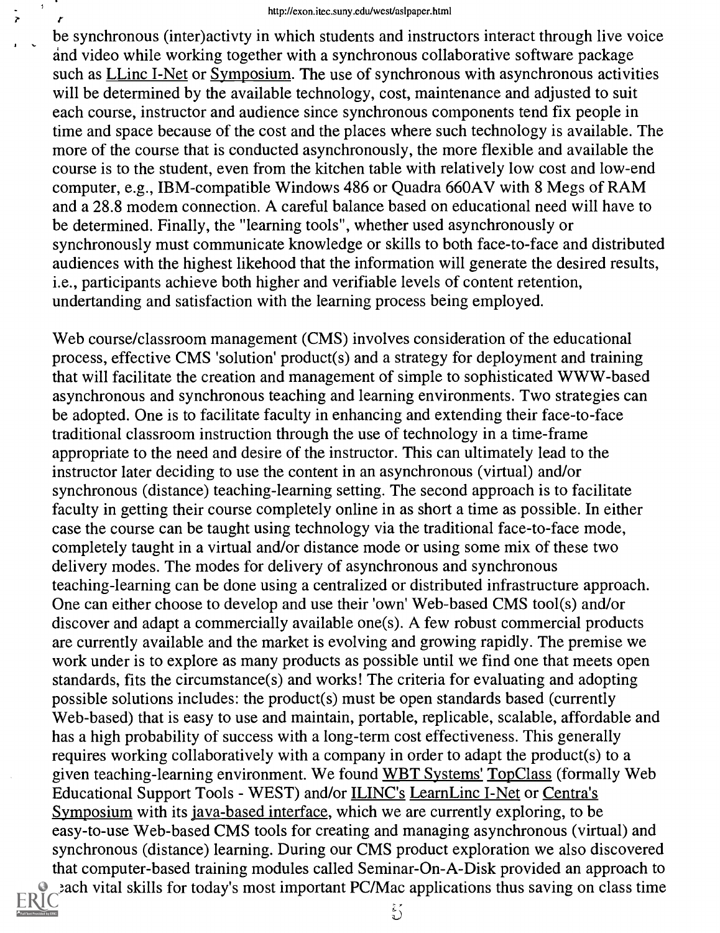#### http://exon.itec.suny.edu/west/asIpaper.html

be synchronous (inter)activty in which students and instructors interact through live voice and video while working together with a synchronous collaborative software package such as *LLinc I-Net or Symposium*. The use of synchronous with asynchronous activities will be determined by the available technology, cost, maintenance and adjusted to suit each course, instructor and audience since synchronous components tend fix people in time and space because of the cost and the places where such technology is available. The more of the course that is conducted asynchronously, the more flexible and available the course is to the student, even from the kitchen table with relatively low cost and low-end computer, e.g., IBM-compatible Windows 486 or Quadra 660AV with 8 Megs of RAM and a 28.8 modem connection. A careful balance based on educational need will have to be determined. Finally, the "learning tools", whether used asynchronously or synchronously must communicate knowledge or skills to both face-to-face and distributed audiences with the highest likehood that the information will generate the desired results, i.e., participants achieve both higher and verifiable levels of content retention, undertanding and satisfaction with the learning process being employed.

Web course/classroom management (CMS) involves consideration of the educational process, effective CMS 'solution' product(s) and a strategy for deployment and training that will facilitate the creation and management of simple to sophisticated WWW-based asynchronous and synchronous teaching and learning environments. Two strategies can be adopted. One is to facilitate faculty in enhancing and extending their face-to-face traditional classroom instruction through the use of technology in a time-frame appropriate to the need and desire of the instructor. This can ultimately lead to the instructor later deciding to use the content in an asynchronous (virtual) and/or synchronous (distance) teaching-learning setting. The second approach is to facilitate faculty in getting their course completely online in as short a time as possible. In either case the course can be taught using technology via the traditional face-to-face mode, completely taught in a virtual and/or distance mode or using some mix of these two delivery modes. The modes for delivery of asynchronous and synchronous teaching-learning can be done using a centralized or distributed infrastructure approach. One can either choose to develop and use their 'own' Web-based CMS tool(s) and/or discover and adapt a commercially available one(s). A few robust commercial products are currently available and the market is evolving and growing rapidly. The premise we work under is to explore as many products as possible until we find one that meets open standards, fits the circumstance(s) and works! The criteria for evaluating and adopting possible solutions includes: the product(s) must be open standards based (currently Web-based) that is easy to use and maintain, portable, replicable, scalable, affordable and has a high probability of success with a long-term cost effectiveness. This generally requires working collaboratively with a company in order to adapt the product(s) to a given teaching-learning environment. We found WBT Systems' Top Class (formally Web Educational Support Tools - WEST) and/or ILINC's LearnLinc I-Net or Centra's Symposium with its java-based interface, which we are currently exploring, to be easy-to-use Web-based CMS tools for creating and managing asynchronous (virtual) and synchronous (distance) learning. During our CMS product exploration we also discovered that computer-based training modules called Seminar-On-A-Disk provided an approach to the vital skills for today's most important PC/Mac applications thus saving on class time

 $\mathbf{r}$ 

 $\ddot{\zeta}$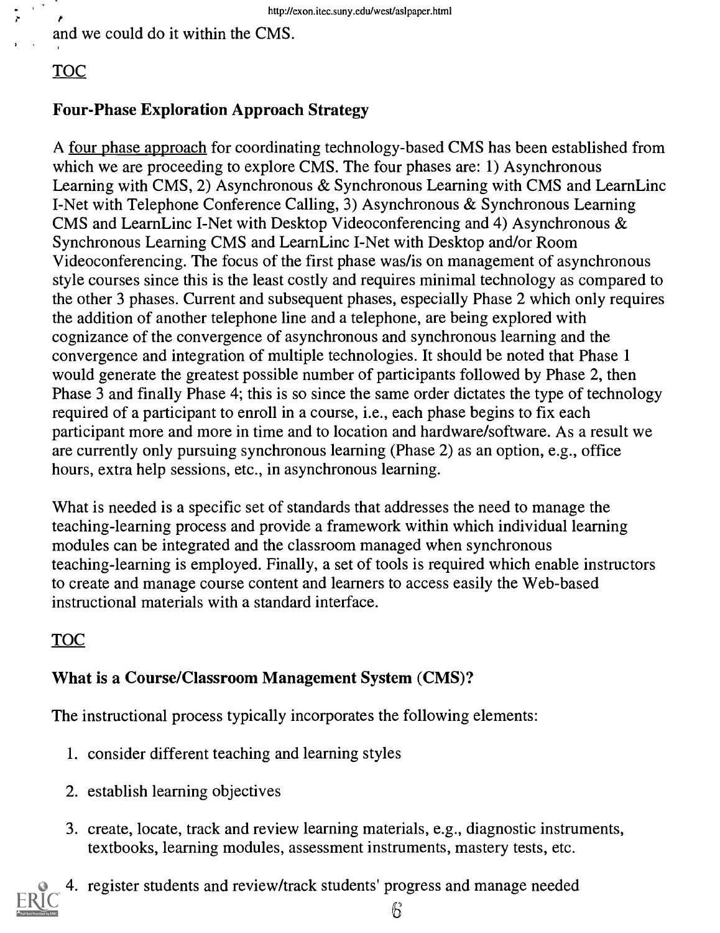and we could do it within the CMS.

# TOC

 $\mathcal{K}^{\pm}$ 

## Four-Phase Exploration Approach Strategy

A four phase approach for coordinating technology-based CMS has been established from which we are proceeding to explore CMS. The four phases are: 1) Asynchronous Learning with CMS, 2) Asynchronous & Synchronous Learning with CMS and LearnLinc I-Net with Telephone Conference Calling, 3) Asynchronous & Synchronous Learning CMS and LearnLinc I-Net with Desktop Videoconferencing and 4) Asynchronous & Synchronous Learning CMS and LearnLinc I-Net with Desktop and/or Room Videoconferencing. The focus of the first phase was/is on management of asynchronous style courses since this is the least costly and requires minimal technology as compared to the other 3 phases. Current and subsequent phases, especially Phase 2 which only requires the addition of another telephone line and a telephone, are being explored with cognizance of the convergence of asynchronous and synchronous learning and the convergence and integration of multiple technologies. It should be noted that Phase 1 would generate the greatest possible number of participants followed by Phase 2, then Phase 3 and finally Phase 4; this is so since the same order dictates the type of technology required of a participant to enroll in a course, i.e., each phase begins to fix each participant more and more in time and to location and hardware/software. As a result we are currently only pursuing synchronous learning (Phase 2) as an option, e.g., office hours, extra help sessions, etc., in asynchronous learning.

What is needed is a specific set of standards that addresses the need to manage the teaching-learning process and provide a framework within which individual learning modules can be integrated and the classroom managed when synchronous teaching-learning is employed. Finally, a set of tools is required which enable instructors to create and manage course content and learners to access easily the Web-based instructional materials with a standard interface.

# TOC

## What is a Course/Classroom Management System (CMS)?

The instructional process typically incorporates the following elements:

- 1. consider different teaching and learning styles
- 2. establish learning objectives
- 3. create, locate, track and review learning materials, e.g., diagnostic instruments, textbooks, learning modules, assessment instruments, mastery tests, etc.



4. register students and review/track students' progress and manage needed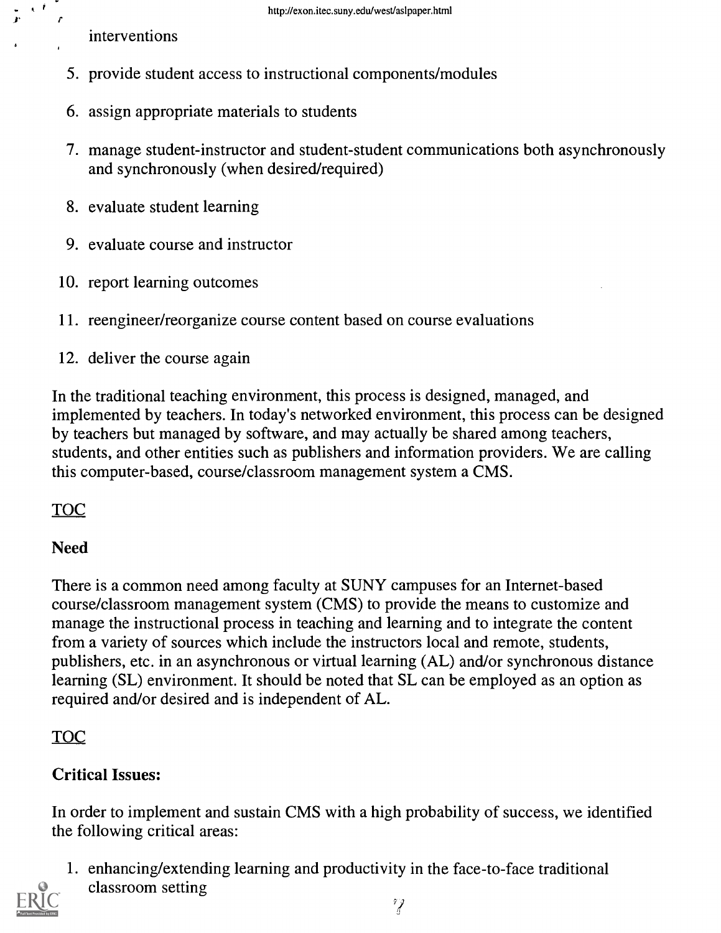interventions

 $\mathbf{A}$ 

- 5. provide student access to instructional components/modules
- 6. assign appropriate materials to students
- 7. manage student-instructor and student-student communications both asynchronously and synchronously (when desired/required)
- 8. evaluate student learning
- 9. evaluate course and instructor
- 10. report learning outcomes
- 11. reengineer/reorganize course content based on course evaluations
- 12. deliver the course again

In the traditional teaching environment, this process is designed, managed, and implemented by teachers. In today's networked environment, this process can be designed by teachers but managed by software, and may actually be shared among teachers, students, and other entities such as publishers and information providers. We are calling this computer-based, course/classroom management system a CMS.

TOC

## Need

There is a common need among faculty at SUNY campuses for an Internet-based course/classroom management system (CMS) to provide the means to customize and manage the instructional process in teaching and learning and to integrate the content from a variety of sources which include the instructors local and remote, students, publishers, etc. in an asynchronous or virtual learning (AL) and/or synchronous distance learning (SL) environment. It should be noted that SL can be employed as an option as required and/or desired and is independent of AL.

# TOC

# Critical Issues:

In order to implement and sustain CMS with a high probability of success, we identified the following critical areas:

1. enhancing/extending learning and productivity in the face-to-face traditional classroom setting

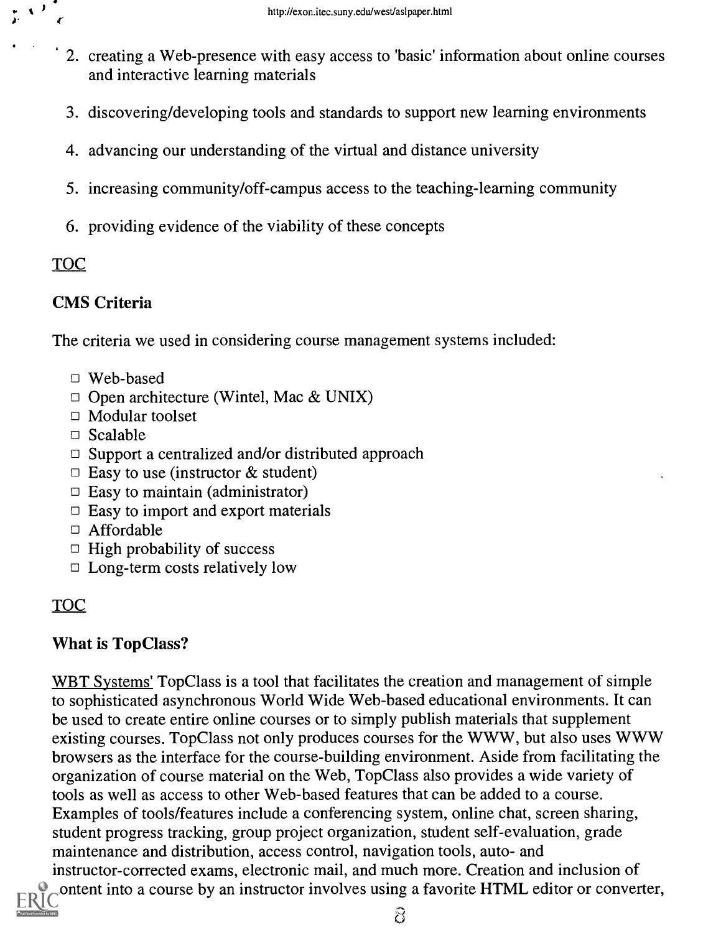- 2. creating a Web-presence with easy access to 'basic' information about online courses and interactive learning materials
- 3. discovering/developing tools and standards to support new learning environments
- 4. advancing our understanding of the virtual and distance university
- 5. increasing community/off-campus access to the teaching-learning community
- 6. providing evidence of the viability of these concepts

## TOC

## CMS Criteria

 $\epsilon$  and  $\epsilon$ 

 $\mathcal{N}^{\mathcal{Y}}$ 

The criteria we used in considering course management systems included:

- Web-based
- $\Box$  Open architecture (Wintel, Mac & UNIX)
- □ Modular toolset
- $\Box$  Scalable
- $\Box$  Support a centralized and/or distributed approach
- $\Box$  Easy to use (instructor & student)
- $\Box$  Easy to maintain (administrator)
- $\Box$  Easy to import and export materials
- Affordable
- $\Box$  High probability of success
- $\Box$  Long-term costs relatively low

# TOC

## What is TopClass?

WBT Systems' Top Class is a tool that facilitates the creation and management of simple to sophisticated asynchronous World Wide Web-based educational environments. It can be used to create entire online courses or to simply publish materials that supplement existing courses. TopClass not only produces courses for the WWW, but also uses WWW browsers as the interface for the course-building environment. Aside from facilitating the organization of course material on the Web, Top Class also provides a wide variety of tools as well as access to other Web-based features that can be added to a course. Examples of tools/features include a conferencing system, online chat, screen sharing, student progress tracking, group project organization, student self-evaluation, grade maintenance and distribution, access control, navigation tools, auto- and instructor-corrected exams, electronic mail, and much more. Creation and inclusion of content into a course by an instructor involves using a favorite HTML editor or converter,

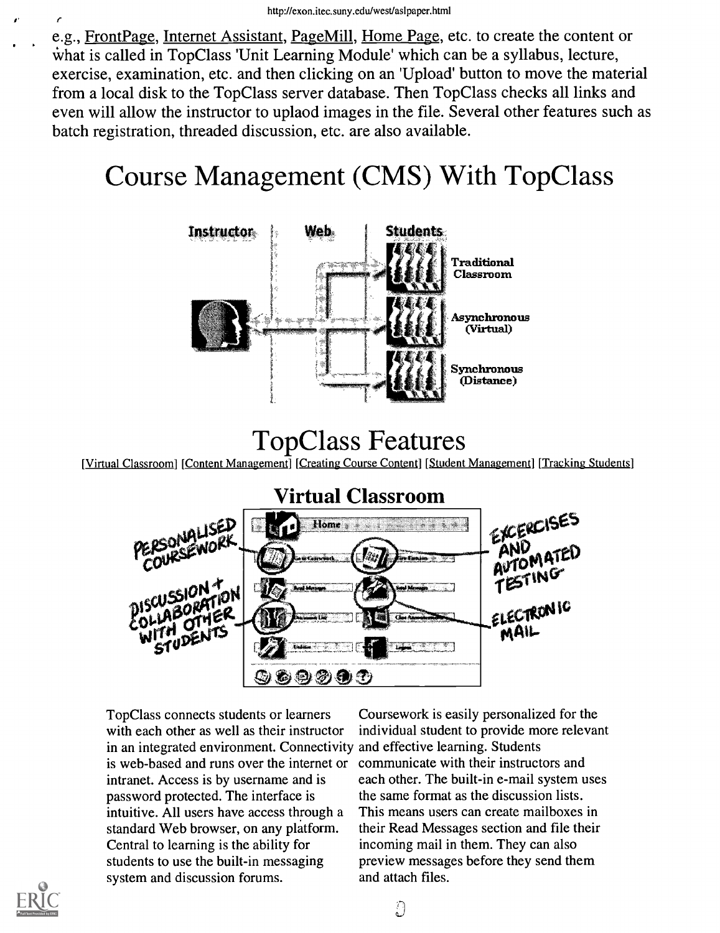e.g., Front Page, Internet Assistant, Page Mill, Home Page, etc. to create the content or what is called in TopClass 'Unit Learning Module' which can be a syllabus, lecture, exercise, examination, etc. and then clicking on an 'Upload' button to move the material from a local disk to the TopClass server database. Then TopClass checks all links and even will allow the instructor to uplaod images in the file. Several other features such as batch registration, threaded discussion, etc. are also available.

# Course Management (CMS) With TopClass



# TopClass Features

[Virtual Classroom] [Content Management] [Creating Course Content] [Student Management] [Tracking Students]



TopClass connects students or learners with each other as well as their instructor in an integrated environment. Connectivity and effective learning. Students is web-based and runs over the internet or intranet. Access is by username and is password protected. The interface is intuitive. All users have access through a standard Web browser, on any platform. Central to learning is the ability for students to use the built-in messaging system and discussion forums.

Coursework is easily personalized for the individual student to provide more relevant communicate with their instructors and each other. The built-in e-mail system uses the same format as the discussion lists. This means users can create mailboxes in their Read Messages section and file their incoming mail in them. They can also preview messages before they send them and attach files.

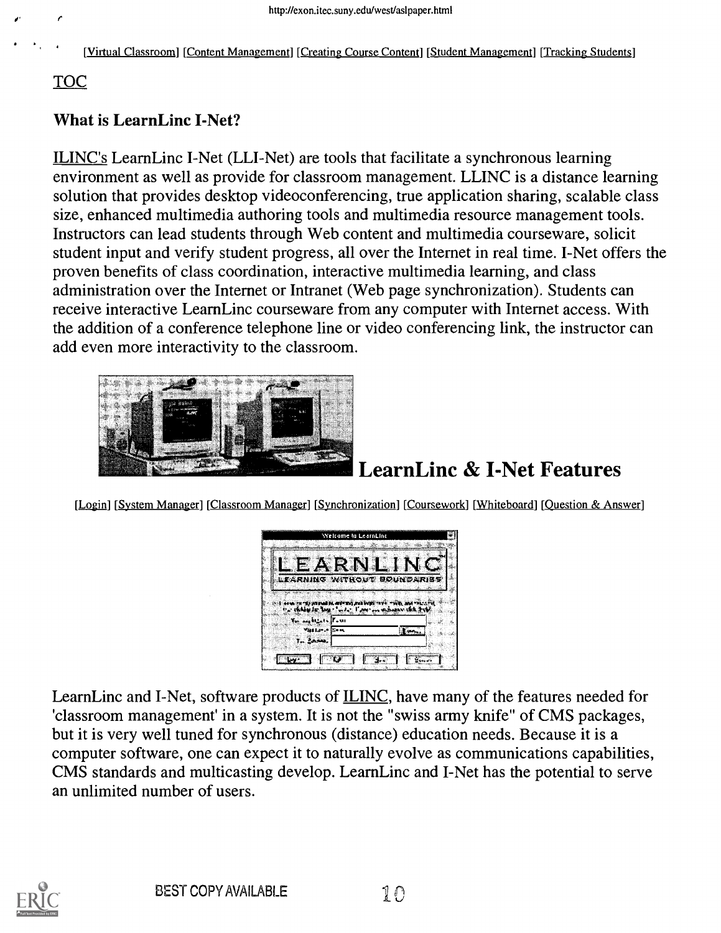[Virtual Classroom] [Content Management] [Creating Course Content] [Student Management] [Tracking Students]

#### TOC

#### What is LearnLinc I-Net?

ILINC's LearnLinc I-Net (LLI-Net) are tools that facilitate a synchronous learning environment as well as provide for classroom management. LLINC is a distance learning solution that provides desktop videoconferencing, true application sharing, scalable class size, enhanced multimedia authoring tools and multimedia resource management tools. Instructors can lead students through Web content and multimedia courseware, solicit student input and verify student progress, all over the Internet in real time. I-Net offers the proven benefits of class coordination, interactive multimedia learning, and class administration over the Internet or Intranet (Web page synchronization). Students can receive interactive LearnLinc courseware from any computer with Internet access. With the addition of a conference telephone line or video conferencing link, the instructor can add even more interactivity to the classroom.



# LearnLinc & I-Net Features

[Login] [System Manager] [Classroom Manager] [Synchronization] [Coursework] [Whiteboard] [Question & Answer]



LearnLinc and I-Net, software products of ILINC, have many of the features needed for 'classroom management' in a system. It is not the "swiss army knife" of CMS packages, but it is very well tuned for synchronous (distance) education needs. Because it is a computer software, one can expect it to naturally evolve as communications capabilities, CMS standards and multicasting develop. LearnLinc and I-Net has the potential to serve an unlimited number of users.

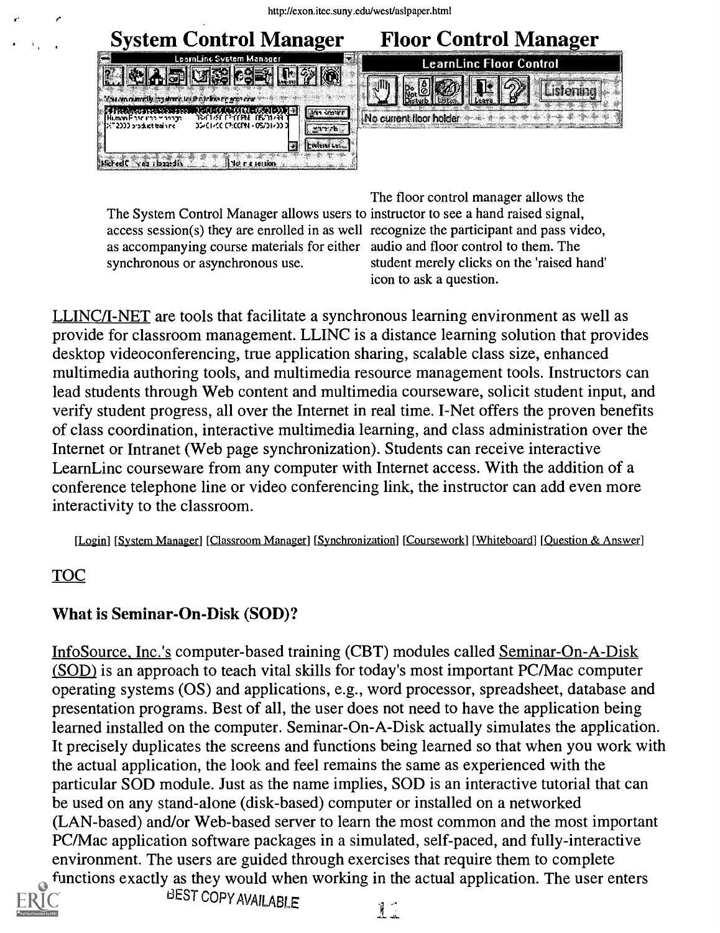

The System Control Manager allows users to instructor to see a hand raised signal, access session(s) they are enrolled in as well recognize the participant and pass video, as accompanying course materials for either audio and floor control to them. The synchronous or asynchronous use.

The floor control manager allows the student merely clicks on the 'raised hand' icon to ask a question.

LLINC/I-NET are tools that facilitate a synchronous learning environment as well as provide for classroom management. LLINC is a distance learning solution that provides desktop videoconferencing, true application sharing, scalable class size, enhanced multimedia authoring tools, and multimedia resource management tools. Instructors can lead students through Web content and multimedia courseware, solicit student input, and verify student progress, all over the Internet in real time. I-Net offers the proven benefits of class coordination, interactive multimedia learning, and class administration over the Internet or Intranet (Web page synchronization). Students can receive interactive LearnLinc courseware from any computer with Internet access. With the addition of a conference telephone line or video conferencing link, the instructor can add even more interactivity to the classroom.

[Login] [System Manager] [Classroom Manager] [Synchronization] [Courscwork] [Whiteboard] [Question & Answer]

## TOC

 $\mathbf{r}_\mathrm{a}$ 

## What is Seminar-On-Disk (SOD)?

InfoSource, Inc.'s computer-based training (CBT) modules called Seminar-On-A-Disk (SOD) is an approach to teach vital skills for today's most important PC/Mac computer operating systems (OS) and applications, e.g., word processor, spreadsheet, database and presentation programs. Best of all, the user does not need to have the application being learned installed on the computer. Seminar-On-A-Disk actually simulates the application. It precisely duplicates the screens and functions being learned so that when you work with the actual application, the look and feel remains the same as experienced with the particular SOD module. Just as the name implies, SOD is an interactive tutorial that can be used on any stand-alone (disk-based) computer or installed on a networked (LAN-based) and/or Web-based server to learn the most common and the most important PC/Mac application software packages in a simulated, self-paced, and fully-interactive environment. The users are guided through exercises that require them to complete functions exactly as they would when working in the actual application. The user enters



BEST COPY AVAILABLE

11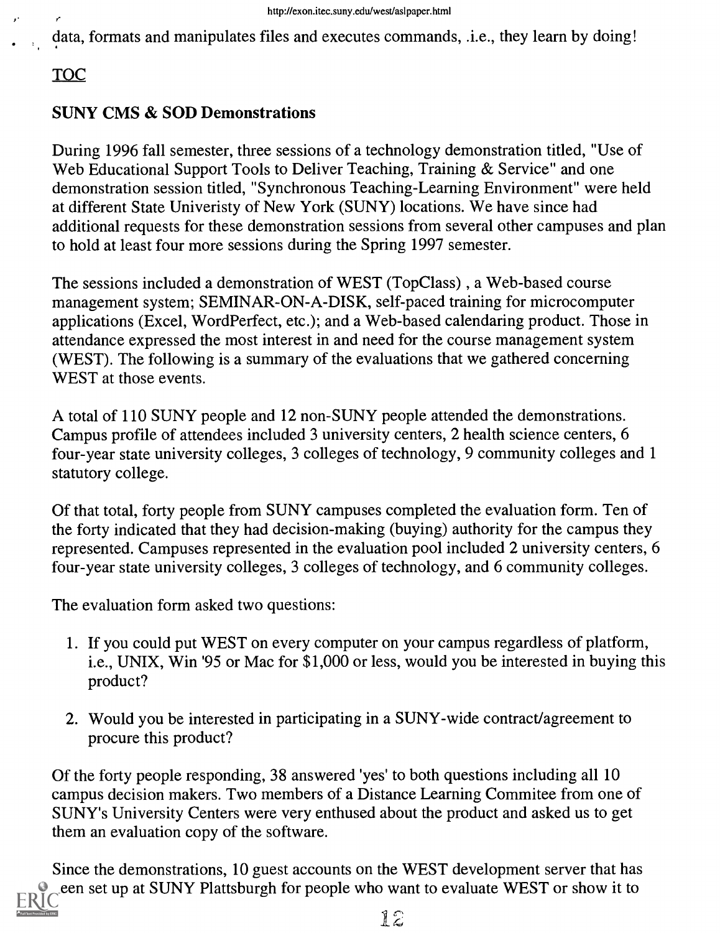data, formats and manipulates files and executes commands, .i.e., they learn by doing!

TOC

#### SUNY CMS & SOD Demonstrations

During 1996 fall semester, three sessions of a technology demonstration titled, "Use of Web Educational Support Tools to Deliver Teaching, Training & Service" and one demonstration session titled, "Synchronous Teaching-Learning Environment" were held at different State Univeristy of New York (SUNY) locations. We have since had additional requests for these demonstration sessions from several other campuses and plan to hold at least four more sessions during the Spring 1997 semester.

The sessions included a demonstration of WEST (TopClass), a Web-based course management system; SEMINAR-ON-A-DISK, self-paced training for microcomputer applications (Excel, WordPerfect, etc.); and a Web-based calendaring product. Those in attendance expressed the most interest in and need for the course management system (WEST). The following is a summary of the evaluations that we gathered concerning WEST at those events.

A total of 110 SUNY people and 12 non-SUNY people attended the demonstrations. Campus profile of attendees included 3 university centers, 2 health science centers, 6 four-year state university colleges, 3 colleges of technology, 9 community colleges and 1 statutory college.

Of that total, forty people from SUNY campuses completed the evaluation form. Ten of the forty indicated that they had decision-making (buying) authority for the campus they represented. Campuses represented in the evaluation pool included 2 university centers, 6 four-year state university colleges, 3 colleges of technology, and 6 community colleges.

The evaluation form asked two questions:

- 1. If you could put WEST on every computer on your campus regardless of platform, i.e., UNIX, Win '95 or Mac for \$1,000 or less, would you be interested in buying this product?
- 2. Would you be interested in participating in a SUNY-wide contract/agreement to procure this product?

Of the forty people responding, 38 answered 'yes' to both questions including all 10 campus decision makers. Two members of a Distance Learning Commitee from one of SUNY's University Centers were very enthused about the product and asked us to get them an evaluation copy of the software.

Since the demonstrations, 10 guest accounts on the WEST development server that has been set up at SUNY Plattsburgh for people who want to evaluate WEST or show it to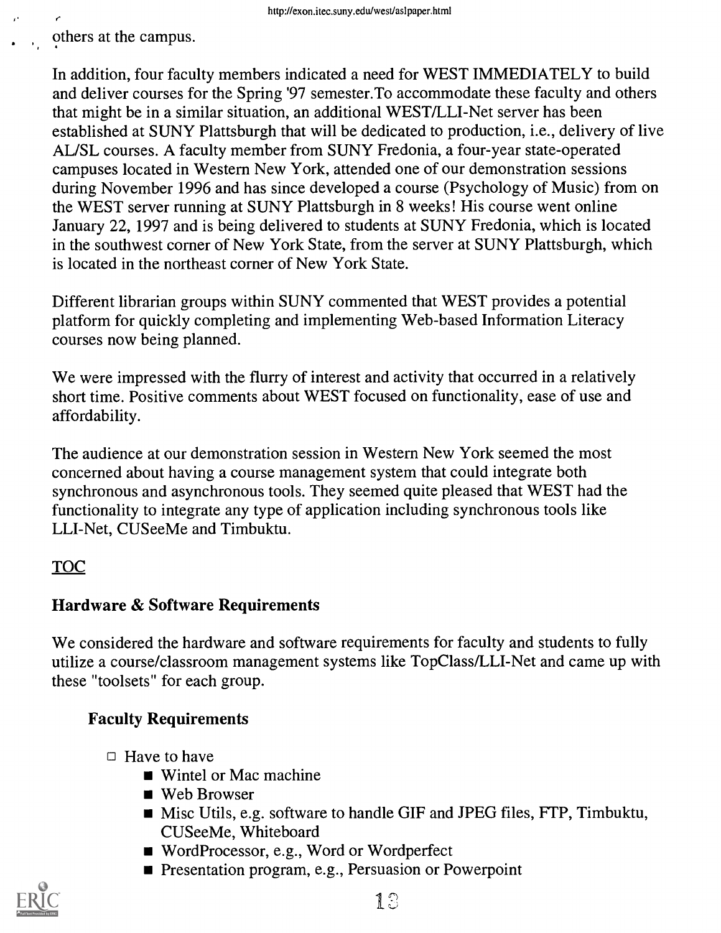others at the campus.

r r

In addition, four faculty members indicated a need for WEST IMMEDIATELY to build and deliver courses for the Spring '97 semester.To accommodate these faculty and others that might be in a similar situation, an additional WEST/LLI-Net server has been established at SUNY Plattsburgh that will be dedicated to production, i.e., delivery of live AL/SL courses. A faculty member from SUNY Fredonia, a four-year state-operated campuses located in Western New York, attended one of our demonstration sessions during November 1996 and has since developed a course (Psychology of Music) from on the WEST server running at SUNY Plattsburgh in 8 weeks! His course went online January 22, 1997 and is being delivered to students at SUNY Fredonia, which is located in the southwest corner of New York State, from the server at SUNY Plattsburgh, which is located in the northeast corner of New York State.

Different librarian groups within SUNY commented that WEST provides a potential platform for quickly completing and implementing Web-based Information Literacy courses now being planned.

We were impressed with the flurry of interest and activity that occurred in a relatively short time. Positive comments about WEST focused on functionality, ease of use and affordability.

The audience at our demonstration session in Western New York seemed the most concerned about having a course management system that could integrate both synchronous and asynchronous tools. They seemed quite pleased that WEST had the functionality to integrate any type of application including synchronous tools like LLI-Net, CUSeeMe and Timbuktu.

## TOC

## Hardware & Software Requirements

We considered the hardware and software requirements for faculty and students to fully utilize a course/classroom management systems like TopClass/LLI-Net and came up with these "toolsets" for each group.

# Faculty Requirements

- $\Box$  Have to have
	- Wintel or Mac machine
	- Web Browser
	- Misc Utils, e.g. software to handle GIF and JPEG files, FTP, Timbuktu, CUSeeMe, Whiteboard
	- Word Processor, e.g., Word or Wordperfect
	- **Presentation program, e.g., Persuasion or Powerpoint**

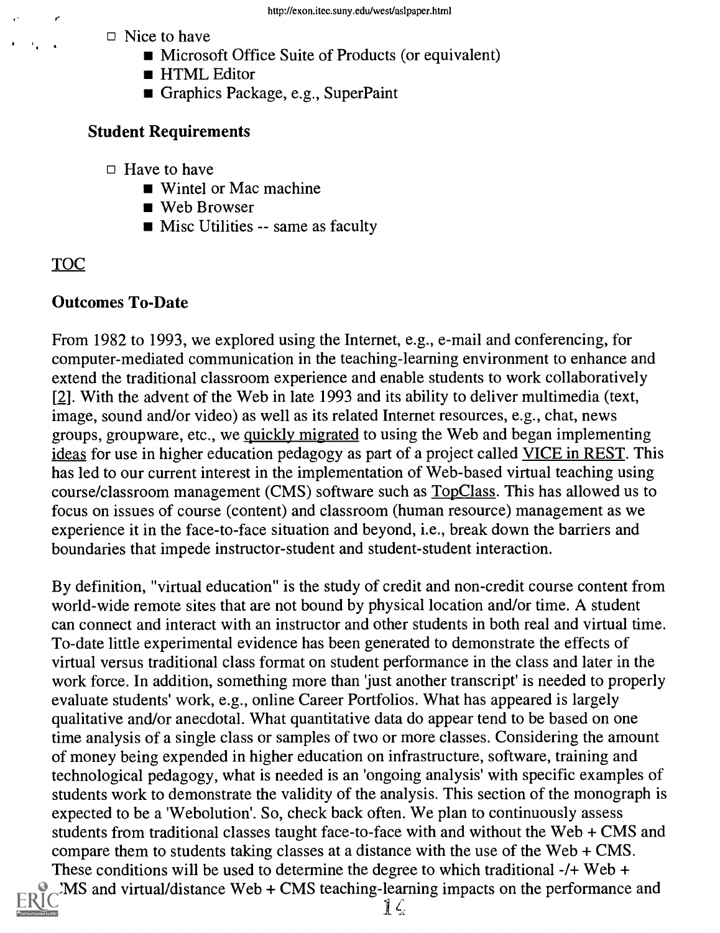$\Box$  Nice to have

- **Microsoft Office Suite of Products (or equivalent)**
- **HTML Editor**
- Graphics Package, e.g., SuperPaint

#### Student Requirements

- $\Box$  Have to have
	- Wintel or Mac machine
	- Web Browser
	- **Misc Utilities -- same as faculty**

# TOC

 $\mathcal{F}_{\mathbf{a}}$  .

#### Outcomes To-Date

From 1982 to 1993, we explored using the Internet, e.g., e-mail and conferencing, for computer-mediated communication in the teaching-learning environment to enhance and extend the traditional classroom experience and enable students to work collaboratively [2]. With the advent of the Web in late 1993 and its ability to deliver multimedia (text, image, sound and/or video) as well as its related Internet resources, e.g., chat, news groups, groupware, etc., we quickly migrated to using the Web and began implementing ideas for use in higher education pedagogy as part of a project called VICE in REST. This has led to our current interest in the implementation of Web-based virtual teaching using course/classroom management (CMS) software such as **TopClass**. This has allowed us to focus on issues of course (content) and classroom (human resource) management as we experience it in the face-to-face situation and beyond, i.e., break down the barriers and boundaries that impede instructor-student and student-student interaction.

By definition, "virtual education" is the study of credit and non-credit course content from world-wide remote sites that are not bound by physical location and/or time. A student can connect and interact with an instructor and other students in both real and virtual time. To-date little experimental evidence has been generated to demonstrate the effects of virtual versus traditional class format on student performance in the class and later in the work force. In addition, something more than 'just another transcript' is needed to properly evaluate students' work, e.g., online Career Portfolios. What has appeared is largely qualitative and/or anecdotal. What quantitative data do appear tend to be based on one time analysis of a single class or samples of two or more classes. Considering the amount of money being expended in higher education on infrastructure, software, training and technological pedagogy, what is needed is an 'ongoing analysis' with specific examples of students work to demonstrate the validity of the analysis. This section of the monograph is expected to be a 'Webolution'. So, check back often. We plan to continuously assess students from traditional classes taught face-to-face with and without the Web + CMS and compare them to students taking classes at a distance with the use of the Web + CMS. These conditions will be used to determine the degree to which traditional -/+ Web +

 $MS$  and virtual/distance Web  $+ CMS$  teaching-learning impacts on the performance and

 $\sum$ 

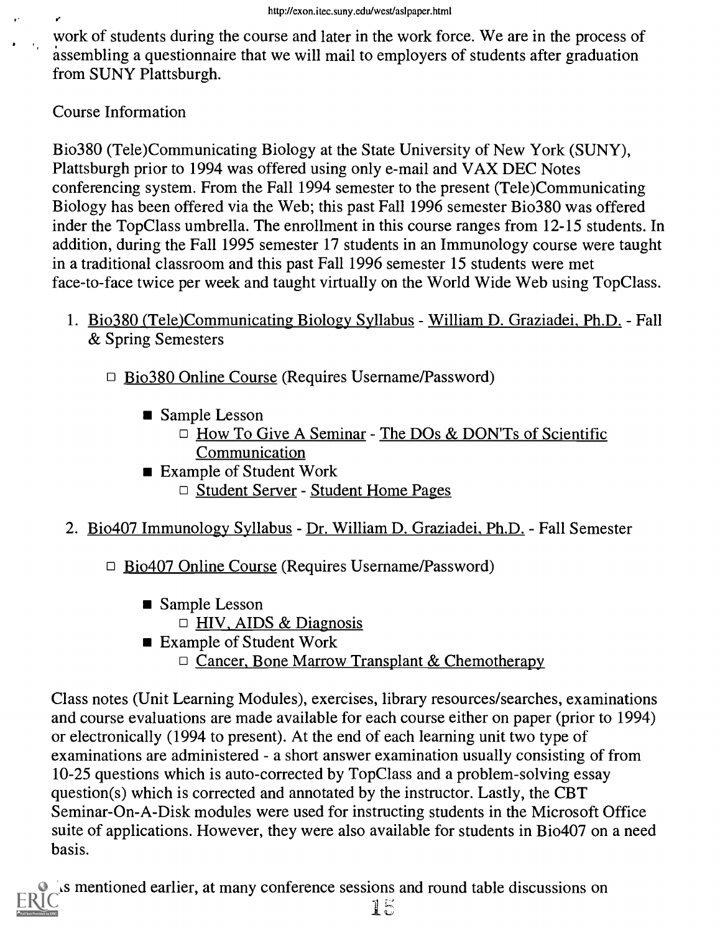work of students during the course and later in the work force. We are in the process of assembling a questionnaire that we will mail to employers of students after graduation from SUNY Plattsburgh.

Course Information

Bio380 (Tele)Communicating Biology at the State University of New York (SUNY), Plattsburgh prior to 1994 was offered using only e-mail and VAX DEC Notes conferencing system. From the Fall 1994 semester to the present (Tele)Communicating Biology has been offered via the Web; this past Fall 1996 semester Bio380 was offered inder the Top Class umbrella. The enrollment in this course ranges from 12-15 students. In addition, during the Fall 1995 semester 17 students in an Immunology course were taught in a traditional classroom and this past Fall 1996 semester 15 students were met face-to-face twice per week and taught virtually on the World Wide Web using TopClass.

- 1. Bio380 (Tele)Communicating Biology Syllabus William D. Graziadei, Ph.D. Fall & Spring Semesters
	- □ Bio380 Online Course (Requires Username/Password)
		- **Sample Lesson** 
			- $\Box$  How To Give A Seminar The DOs & DON'Ts of Scientific Communication
		- **Example of Student Work** 
			- □ Student Server Student Home Pages
- 2. Bio407 Immunology Syllabus Dr. William D. Graziadei, Ph.D. Fall Semester
	- □ Bio407 Online Course (Requires Username/Password)
		- Sample Lesson
			- D HIV, AIDS & Diagnosis
		- Example of Student Work
			- $\Box$  Cancer, Bone Marrow Transplant & Chemotherapy

Class notes (Unit Learning Modules), exercises, library resources/searches, examinations and course evaluations are made available for each course either on paper (prior to 1994) or electronically (1994 to present). At the end of each learning unit two type of examinations are administered - a short answer examination usually consisting of from 10-25 questions which is auto-corrected by Top Class and a problem-solving essay question(s) which is corrected and annotated by the instructor. Lastly, the CBT Seminar-On-A-Disk modules were used for instructing students in the Microsoft Office suite of applications. However, they were also available for students in Bio407 on a need basis.

As mentioned earlier, at many conference sessions and round table discussions on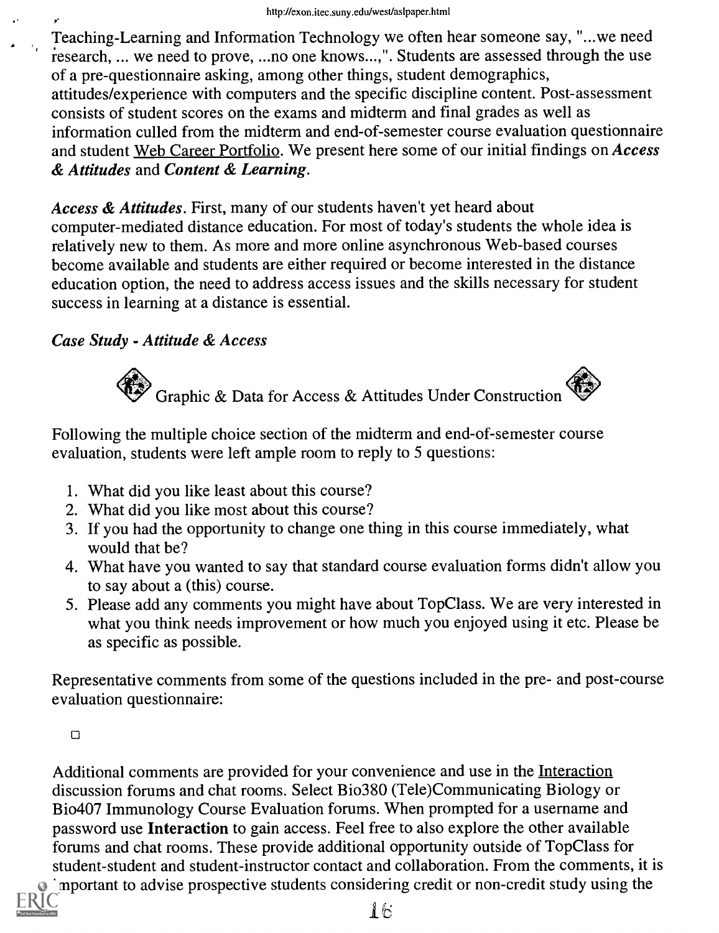Teaching-Learning and Information Technology we often hear someone say, "...we need research, ... we need to prove, ...no one knows...,". Students are assessed through the use of a pre-questionnaire asking, among other things, student demographics, attitudes/experience with computers and the specific discipline content. Post-assessment consists of student scores on the exams and midterm and final grades as well as information culled from the midterm and end-of-semester course evaluation questionnaire and student Web Career Portfolio. We present here some of our initial findings on Access & Attitudes and Content & Learning.

Access & Attitudes. First, many of our students haven't yet heard about computer-mediated distance education. For most of today's students the whole idea is relatively new to them. As more and more online asynchronous Web-based courses become available and students are either required or become interested in the distance education option, the need to address access issues and the skills necessary for student success in learning at a distance is essential.

#### Case Study - Attitude & Access

Graphic & Data for Access & Attitudes Under Construction



Following the multiple choice section of the midterm and end-of-semester course evaluation, students were left ample room to reply to 5 questions:

- 1. What did you like least about this course?
- 2. What did you like most about this course?
- 3. If you had the opportunity to change one thing in this course immediately, what would that be?
- 4. What have you wanted to say that standard course evaluation forms didn't allow you to say about a (this) course.
- 5. Please add any comments you might have about TopClass. We are very interested in what you think needs improvement or how much you enjoyed using it etc. Please be as specific as possible.

Representative comments from some of the questions included in the pre- and post-course evaluation questionnaire:

 $\Box$ 

Additional comments are provided for your convenience and use in the Interaction discussion forums and chat rooms. Select Bio380 (Tele)Communicating Biology or Bio407 Immunology Course Evaluation forums. When prompted for a username and password use Interaction to gain access. Feel free to also explore the other available forums and chat rooms. These provide additional opportunity outside of TopClass for student-student and student-instructor contact and collaboration. From the comments, it is mportant to advise prospective students considering credit or non-credit study using the

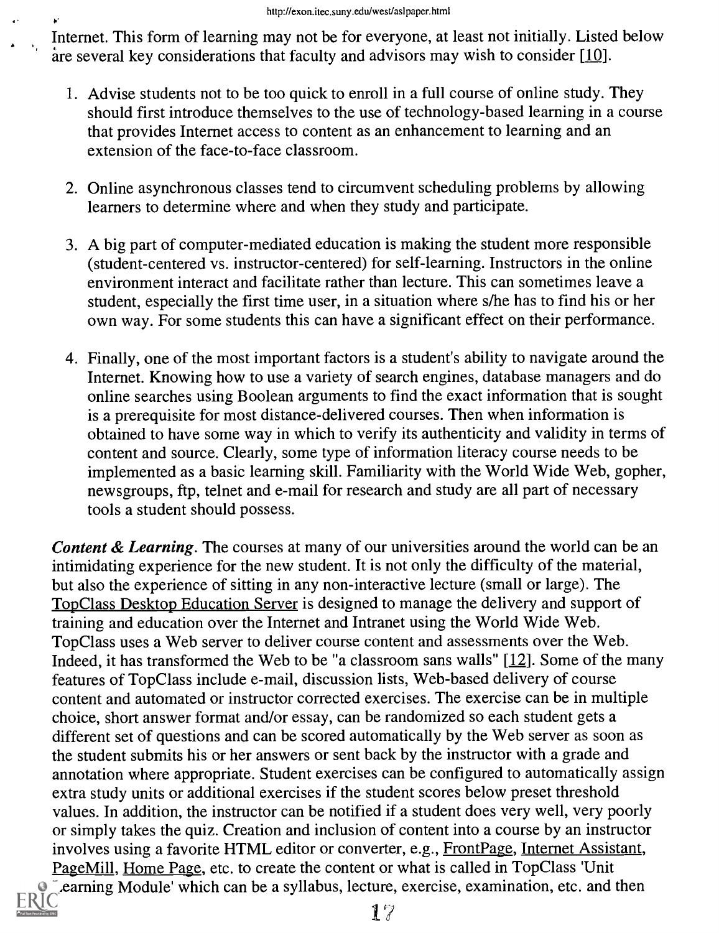Internet. This form of learning may not be for everyone, at least not initially. Listed below are several key considerations that faculty and advisors may wish to consider  $[10]$ .

- 1. Advise students not to be too quick to enroll in a full course of online study. They should first introduce themselves to the use of technology-based learning in a course that provides Internet access to content as an enhancement to learning and an extension of the face-to-face classroom.
- 2. Online asynchronous classes tend to circumvent scheduling problems by allowing learners to determine where and when they study and participate.
- 3. A big part of computer-mediated education is making the student more responsible (student-centered vs. instructor-centered) for self-learning. Instructors in the online environment interact and facilitate rather than lecture. This can sometimes leave a student, especially the first time user, in a situation where s/he has to find his or her own way. For some students this can have a significant effect on their performance.
- 4. Finally, one of the most important factors is a student's ability to navigate around the Internet. Knowing how to use a variety of search engines, database managers and do online searches using Boolean arguments to find the exact information that is sought is a prerequisite for most distance-delivered courses. Then when information is obtained to have some way in which to verify its authenticity and validity in terms of content and source. Clearly, some type of information literacy course needs to be implemented as a basic learning skill. Familiarity with the World Wide Web, gopher, newsgroups, ftp, telnet and e-mail for research and study are all part of necessary tools a student should possess.

Content & Learning. The courses at many of our universities around the world can be an intimidating experience for the new student. It is not only the difficulty of the material, but also the experience of sitting in any non-interactive lecture (small or large). The Top Class Desktop Education Server is designed to manage the delivery and support of training and education over the Internet and Intranet using the World Wide Web. Top Class uses a Web server to deliver course content and assessments over the Web. Indeed, it has transformed the Web to be "a classroom sans walls" [12]. Some of the many features of TopClass include e-mail, discussion lists, Web-based delivery of course content and automated or instructor corrected exercises. The exercise can be in multiple choice, short answer format and/or essay, can be randomized so each student gets a different set of questions and can be scored automatically by the Web server as soon as the student submits his or her answers or sent back by the instructor with a grade and annotation where appropriate. Student exercises can be configured to automatically assign extra study units or additional exercises if the student scores below preset threshold values. In addition, the instructor can be notified if a student does very well, very poorly or simply takes the quiz. Creation and inclusion of content into a course by an instructor involves using a favorite HTML editor or converter, e.g., Front Page, Internet Assistant, Page Mill, Home Page, etc. to create the content or what is called in Top Class 'Unit Learning Module' which can be a syllabus, lecture, exercise, examination, etc. and then

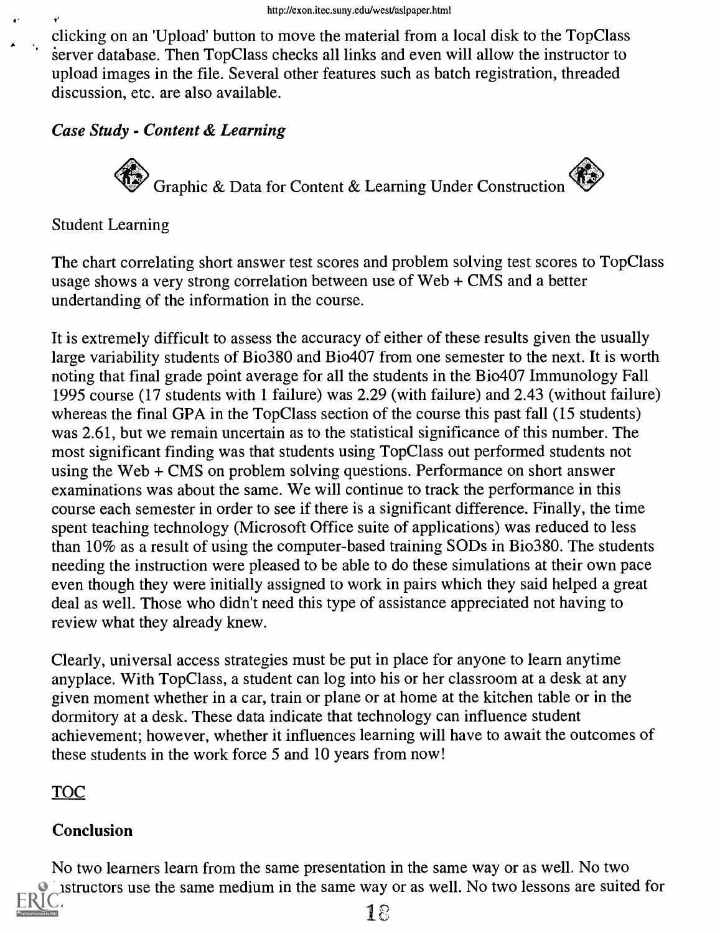clicking on an 'Upload' button to move the material from a local disk to the Top Class server database. Then Top Class checks all links and even will allow the instructor to upload images in the file. Several other features such as batch registration, threaded discussion, etc. are also available.

#### Case Study - Content & Learning

Graphic & Data for Content & Learning Under Construction

#### Student Learning

'-

The chart correlating short answer test scores and problem solving test scores to TopClass usage shows a very strong correlation between use of Web + CMS and a better undertanding of the information in the course.

It is extremely difficult to assess the accuracy of either of these results given the usually large variability students of Bio380 and Bio407 from one semester to the next. It is worth noting that final grade point average for all the students in the Bio407 Immunology Fall 1995 course (17 students with 1 failure) was 2.29 (with failure) and 2.43 (without failure) whereas the final GPA in the TopClass section of the course this past fall (15 students) was 2.61, but we remain uncertain as to the statistical significance of this number. The most significant finding was that students using TopClass out performed students not using the Web + CMS on problem solving questions. Performance on short answer examinations was about the same. We will continue to track the performance in this course each semester in order to see if there is a significant difference. Finally, the time spent teaching technology (Microsoft Office suite of applications) was reduced to less than 10% as a result of using the computer-based training SODs in Bio380. The students needing the instruction were pleased to be able to do these simulations at their own pace even though they were initially assigned to work in pairs which they said helped a great deal as well. Those who didn't need this type of assistance appreciated not having to review what they already knew.

Clearly, universal access strategies must be put in place for anyone to learn anytime anyplace. With TopClass, a student can log into his or her classroom at a desk at any given moment whether in a car, train or plane or at home at the kitchen table or in the dormitory at a desk. These data indicate that technology can influence student achievement; however, whether it influences learning will have to await the outcomes of these students in the work force 5 and 10 years from now!

# TOC

#### Conclusion

No two learners learn from the same presentation in the same way or as well. No two instructors use the same medium in the same way or as well. No two lessons are suited for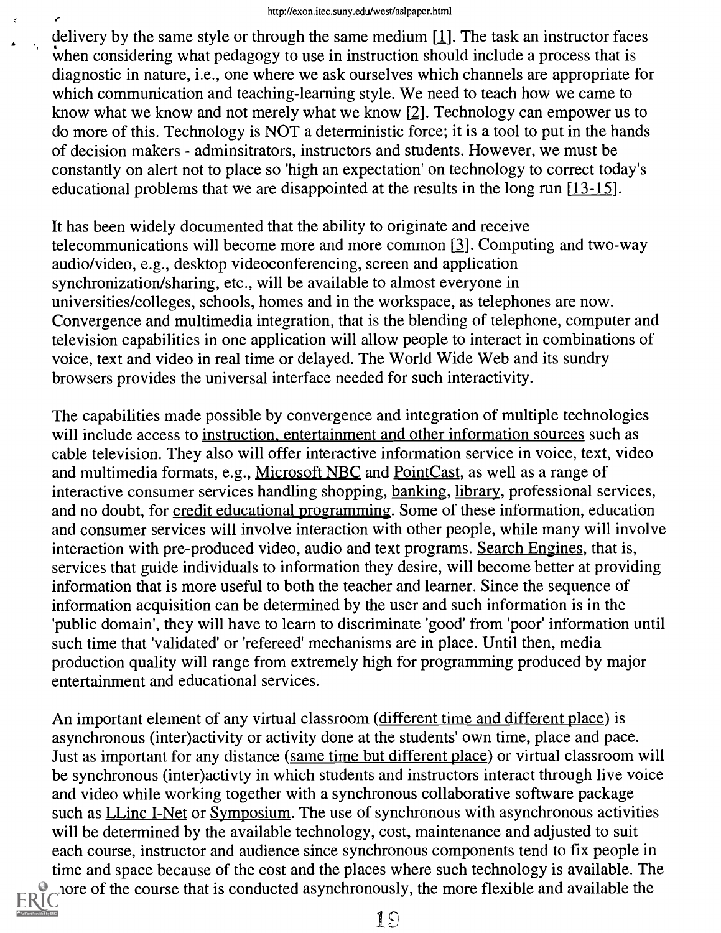delivery by the same style or through the same medium  $[1]$ . The task an instructor faces when considering what pedagogy to use in instruction should include a process that is diagnostic in nature, i.e., one where we ask ourselves which channels are appropriate for which communication and teaching-learning style. We need to teach how we came to know what we know and not merely what we know [2]. Technology can empower us to do more of this. Technology is NOT a deterministic force; it is a tool to put in the hands of decision makers - adminsitrators, instructors and students. However, we must be constantly on alert not to place so 'high an expectation' on technology to correct today's educational problems that we are disappointed at the results in the long run [13-15].

It has been widely documented that the ability to originate and receive telecommunications will become more and more common  $[3]$ . Computing and two-way audio/video, e.g., desktop videoconferencing, screen and application synchronization/sharing, etc., will be available to almost everyone in universities/colleges, schools, homes and in the workspace, as telephones are now. Convergence and multimedia integration, that is the blending of telephone, computer and television capabilities in one application will allow people to interact in combinations of voice, text and video in real time or delayed. The World Wide Web and its sundry browsers provides the universal interface needed for such interactivity.

The capabilities made possible by convergence and integration of multiple technologies will include access to instruction, entertainment and other information sources such as cable television. They also will offer interactive information service in voice, text, video and multimedia formats, e.g., Microsoft NBC and Point Cast, as well as a range of interactive consumer services handling shopping, banking, library, professional services, and no doubt, for credit educational programming. Some of these information, education and consumer services will involve interaction with other people, while many will involve interaction with pre-produced video, audio and text programs. Search Engines, that is, services that guide individuals to information they desire, will become better at providing information that is more useful to both the teacher and learner. Since the sequence of information acquisition can be determined by the user and such information is in the 'public domain', they will have to learn to discriminate 'good' from 'poor' information until such time that 'validated' or 'refereed' mechanisms are in place. Until then, media production quality will range from extremely high for programming produced by major entertainment and educational services.

An important element of any virtual classroom (different time and different place) is asynchronous (inter)activity or activity done at the students' own time, place and pace. Just as important for any distance (same time but different place) or virtual classroom will be synchronous (inter)activty in which students and instructors interact through live voice and video while working together with a synchronous collaborative software package such as **LLinc I-Net or Symposium**. The use of synchronous with asynchronous activities will be determined by the available technology, cost, maintenance and adjusted to suit each course, instructor and audience since synchronous components tend to fix people in time and space because of the cost and the places where such technology is available. The more of the course that is conducted asynchronously, the more flexible and available the



 $\epsilon$ 

¥.

19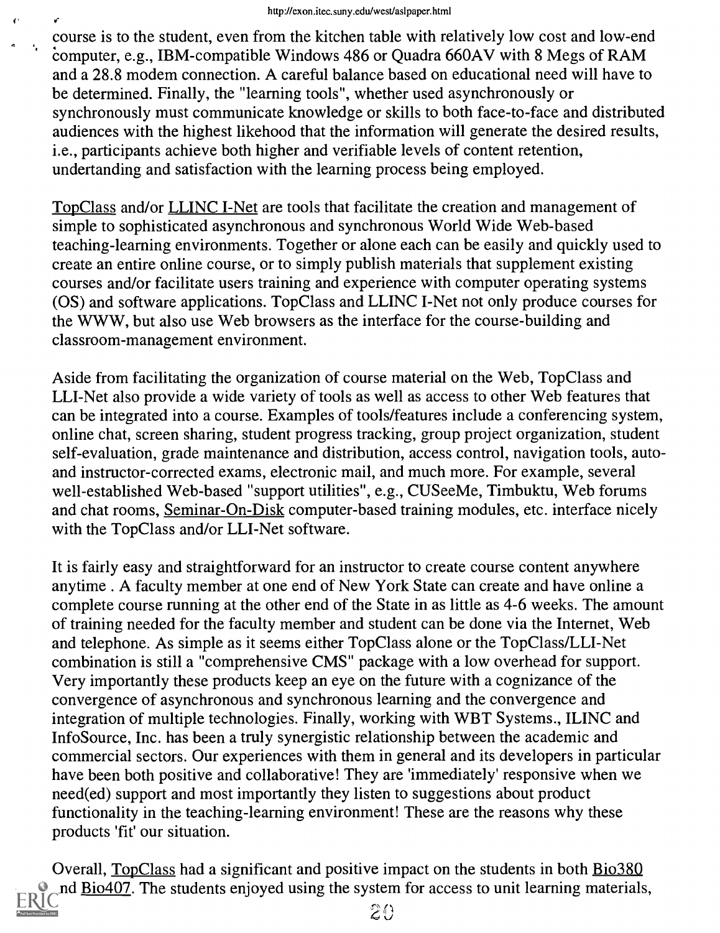$\bullet$ 

course is to the student, even from the kitchen table with relatively low cost and low-end computer, e.g., IBM-compatible Windows 486 or Quadra 660AV with 8 Megs of RAM and a 28.8 modem connection. A careful balance based on educational need will have to be determined. Finally, the "learning tools", whether used asynchronously or synchronously must communicate knowledge or skills to both face-to-face and distributed audiences with the highest likehood that the information will generate the desired results, i.e., participants achieve both higher and verifiable levels of content retention, undertanding and satisfaction with the learning process being employed.

Top Class and/or LLINC I-Net are tools that facilitate the creation and management of simple to sophisticated asynchronous and synchronous World Wide Web-based teaching-learning environments. Together or alone each can be easily and quickly used to create an entire online course, or to simply publish materials that supplement existing courses and/or facilitate users training and experience with computer operating systems (OS) and software applications. Top Class and LLINC I-Net not only produce courses for the WWW, but also use Web browsers as the interface for the course-building and classroom-management environment.

Aside from facilitating the organization of course material on the Web, Top Class and LLI-Net also provide a wide variety of tools as well as access to other Web features that can be integrated into a course. Examples of tools/features include a conferencing system, online chat, screen sharing, student progress tracking, group project organization, student self-evaluation, grade maintenance and distribution, access control, navigation tools, autoand instructor-corrected exams, electronic mail, and much more. For example, several well-established Web-based "support utilities", e.g., CUSeeMe, Timbuktu, Web forums and chat rooms, Seminar-On-Disk computer-based training modules, etc. interface nicely with the TopClass and/or LLI-Net software.

It is fairly easy and straightforward for an instructor to create course content anywhere anytime . A faculty member at one end of New York State can create and have online a complete course running at the other end of the State in as little as 4-6 weeks. The amount of training needed for the faculty member and student can be done via the Internet, Web and telephone. As simple as it seems either TopClass alone or the TopClass/LLI-Net combination is still a "comprehensive CMS" package with a low overhead for support. Very importantly these products keep an eye on the future with a cognizance of the convergence of asynchronous and synchronous learning and the convergence and integration of multiple technologies. Finally, working with WBT Systems., ILINC and InfoSource, Inc. has been a truly synergistic relationship between the academic and commercial sectors. Our experiences with them in general and its developers in particular have been both positive and collaborative! They are 'immediately' responsive when we need(ed) support and most importantly they listen to suggestions about product functionality in the teaching-learning environment! These are the reasons why these products 'fit' our situation.

Overall, TopClass had a significant and positive impact on the students in both Bio380 nd Bio407. The students enjoyed using the system for access to unit learning materials,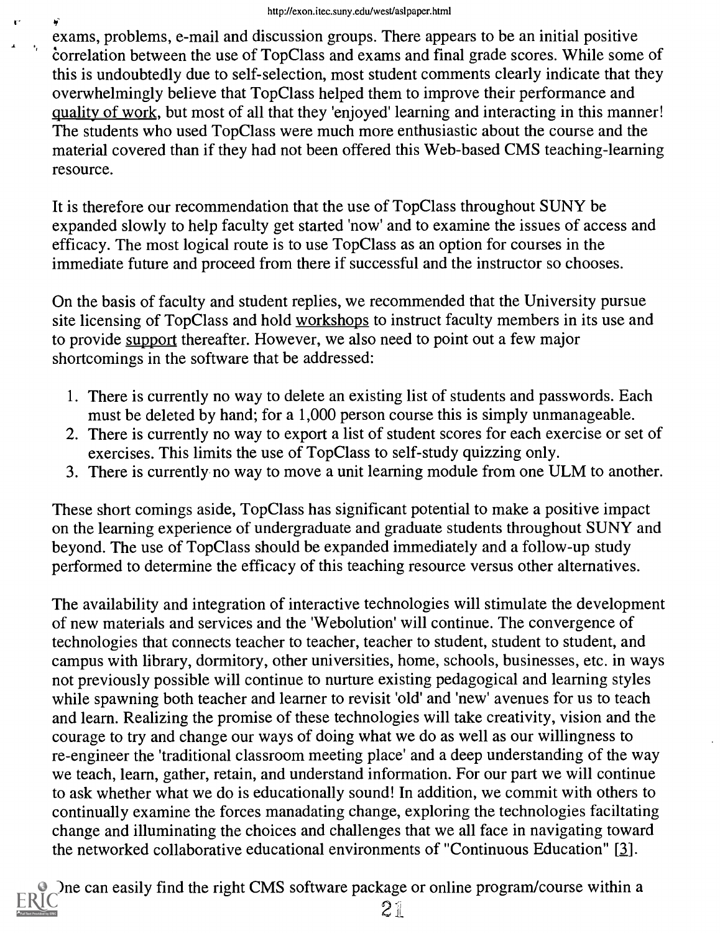exams, problems, e-mail and discussion groups. There appears to be an initial positive correlation between the use of TopClass and exams and final grade scores. While some of this is undoubtedly due to self-selection, most student comments clearly indicate that they overwhelmingly believe that TopClass helped them to improve their performance and quality of work, but most of all that they 'enjoyed' learning and interacting in this manner! The students who used TopClass were much more enthusiastic about the course and the material covered than if they had not been offered this Web-based CMS teaching-learning resource.

It is therefore our recommendation that the use of TopClass throughout SUNY be expanded slowly to help faculty get started 'now' and to examine the issues of access and efficacy. The most logical route is to use Top Class as an option for courses in the immediate future and proceed from there if successful and the instructor so chooses.

On the basis of faculty and student replies, we recommended that the University pursue site licensing of TopClass and hold workshops to instruct faculty members in its use and to provide support thereafter. However, we also need to point out a few major shortcomings in the software that be addressed:

- 1. There is currently no way to delete an existing list of students and passwords. Each must be deleted by hand; for a 1,000 person course this is simply unmanageable.
- 2. There is currently no way to export a list of student scores for each exercise or set of exercises. This limits the use of TopClass to self-study quizzing only.
- 3. There is currently no way to move a unit learning module from one ULM to another.

These short comings aside, Top Class has significant potential to make a positive impact on the learning experience of undergraduate and graduate students throughout SUNY and beyond. The use of TopClass should be expanded immediately and a follow-up study performed to determine the efficacy of this teaching resource versus other alternatives.

The availability and integration of interactive technologies will stimulate the development of new materials and services and the 'Webolution' will continue. The convergence of technologies that connects teacher to teacher, teacher to student, student to student, and campus with library, dormitory, other universities, home, schools, businesses, etc. in ways not previously possible will continue to nurture existing pedagogical and learning styles while spawning both teacher and learner to revisit 'old' and 'new' avenues for us to teach and learn. Realizing the promise of these technologies will take creativity, vision and the courage to try and change our ways of doing what we do as well as our willingness to re-engineer the 'traditional classroom meeting place' and a deep understanding of the way we teach, learn, gather, retain, and understand information. For our part we will continue to ask whether what we do is educationally sound! In addition, we commit with others to continually examine the forces manadating change, exploring the technologies faciltating change and illuminating the choices and challenges that we all face in navigating toward the networked collaborative educational environments of "Continuous Education" [3].

One can easily find the right CMS software package or online program/course within a  $21$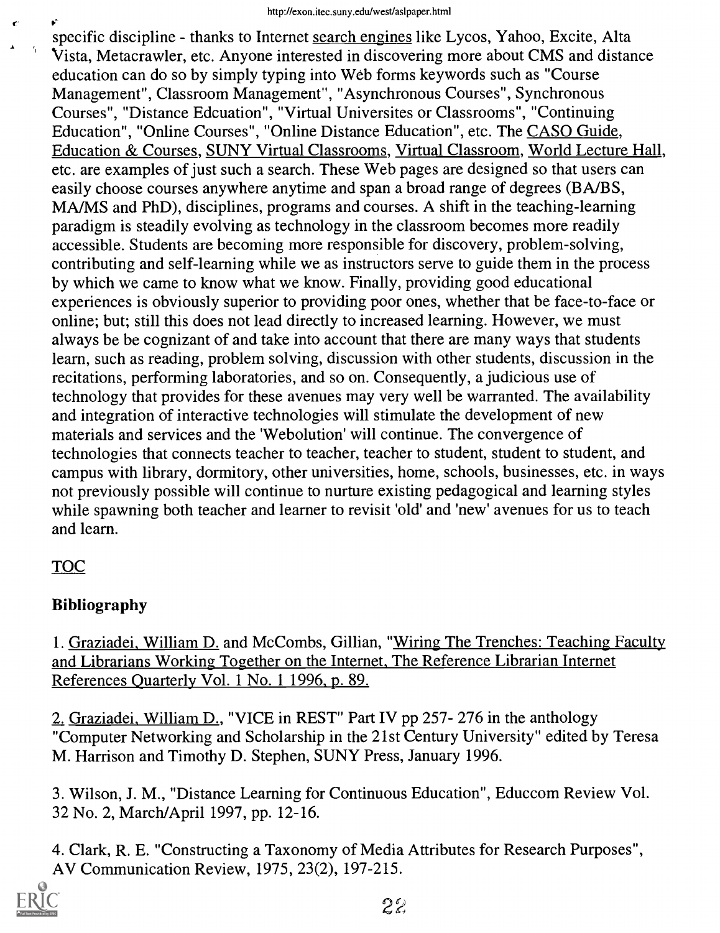specific discipline - thanks to Internet search engines like Lycos, Yahoo, Excite, Alta Vista, Metacrawler, etc. Anyone interested in discovering more about CMS and distance education can do so by simply typing into Web forms keywords such as "Course Management", Classroom Management", "Asynchronous Courses", Synchronous Courses", "Distance Edcuation", "Virtual Universites or Classrooms", "Continuing Education", "Online Courses", "Online Distance Education", etc. The CASO Guide, Education & Courses, SUNY Virtual Classrooms, Virtual Classroom, World Lecture Hall, etc. are examples of just such a search. These Web pages are designed so that users can easily choose courses anywhere anytime and span a broad range of degrees (BA/BS, MA/MS and PhD), disciplines, programs and courses. A shift in the teaching-learning paradigm is steadily evolving as technology in the classroom becomes more readily accessible. Students are becoming more responsible for discovery, problem-solving, contributing and self-learning while we as instructors serve to guide them in the process by which we came to know what we know. Finally, providing good educational experiences is obviously superior to providing poor ones, whether that be face-to-face or online; but; still this does not lead directly to increased learning. However, we must always be be cognizant of and take into account that there are many ways that students learn, such as reading, problem solving, discussion with other students, discussion in the recitations, performing laboratories, and so on. Consequently, a judicious use of technology that provides for these avenues may very well be warranted. The availability and integration of interactive technologies will stimulate the development of new materials and services and the 'Webolution' will continue. The convergence of technologies that connects teacher to teacher, teacher to student, student to student, and campus with library, dormitory, other universities, home, schools, businesses, etc. in ways not previously possible will continue to nurture existing pedagogical and learning styles while spawning both teacher and learner to revisit 'old' and 'new' avenues for us to teach and learn.

## TOC

## Bibliography

1. Graziadei, William D. and McCombs, Gillian, "Wiring The Trenches: Teaching Faculty and Librarians Working Together on the Internet, The Reference Librarian Internet References Quarterly Vol. 1 No. 1 1996, p. 89.

2. Graziadei, William D., "VICE in REST" Part IV pp 257- 276 in the anthology "Computer Networking and Scholarship in the 21st Century University" edited by Teresa M. Harrison and Timothy D. Stephen, SUNY Press, January 1996.

3. Wilson, J. M., "Distance Learning for Continuous Education", Educcom Review Vol. 32 No. 2, March/April 1997, pp. 12-16.

4. Clark, R. E. "Constructing a Taxonomy of Media Attributes for Research Purposes", AV Communication Review, 1975, 23(2), 197-215.

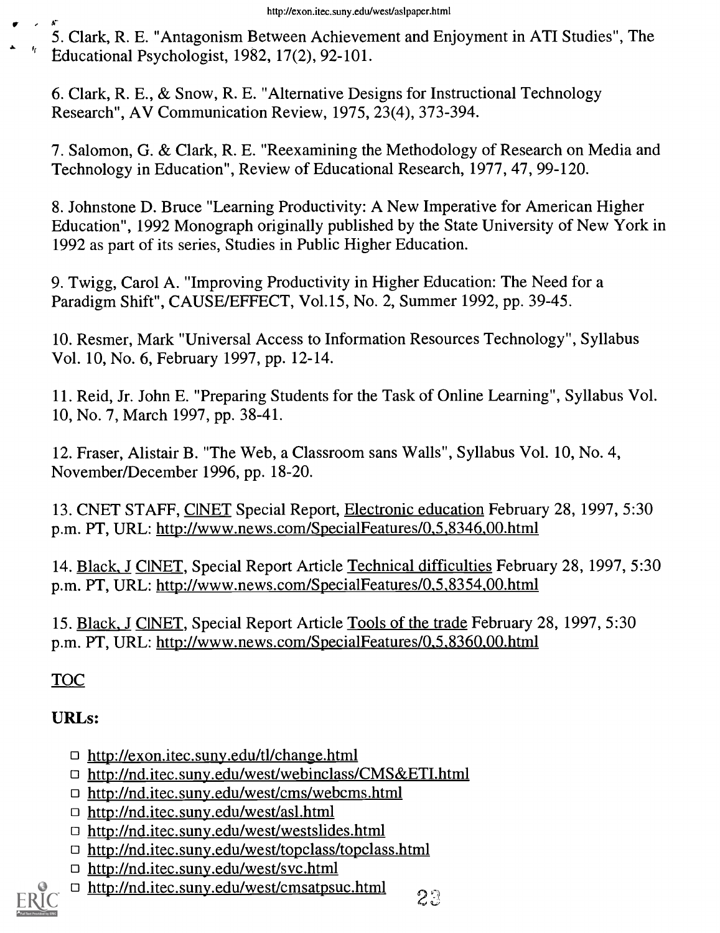http://exon.itec.suny.edu/west/asIpaper.html<br>5. Clark, R. E. "Antagonism Between Achievement and Enjoyment in ATI Studies", The Educational Psychologist, 1982, 17(2), 92-101.

6. Clark, R. E., & Snow, R. E. "Alternative Designs for Instructional Technology Research", AV Communication Review, 1975, 23(4), 373-394.

7. Salomon, G. & Clark, R. E. "Reexamining the Methodology of Research on Media and Technology in Education", Review of Educational Research, 1977, 47, 99-120.

8. Johnstone D. Bruce "Learning Productivity: A New Imperative for American Higher Education", 1992 Monograph originally published by the State University of New York in 1992 as part of its series, Studies in Public Higher Education.

9. Twigg, Carol A. "Improving Productivity in Higher Education: The Need for a Paradigm Shift", CAUSE/EFFECT, Vol.15, No. 2, Summer 1992, pp. 39-45.

10. Resmer, Mark "Universal Access to Information Resources Technology", Syllabus Vol. 10, No. 6, February 1997, pp. 12-14.

11. Reid, Jr. John E. "Preparing Students for the Task of Online Learning", Syllabus Vol. 10, No. 7, March 1997, pp. 38-41.

12. Fraser, Alistair B. "The Web, a Classroom sans Walls", Syllabus Vol. 10, No. 4, November/December 1996, pp. 18-20.

13. CNET STAFF, CINET Special Report, Electronic education February 28, 1997, 5:30 p.m. PT, URL: http://www.news.com/SpecialFeatures/0,5,8346,00.html

14. Black, J CINET, Special Report Article Technical difficulties February 28, 1997, 5:30 p.m. PT, URL: http://www.news.com/SpecialFeatures/0,5,8354,00.html

15. Black, J CINET, Special Report Article Tools of the trade February 28, 1997, 5:30 p.m. PT, URL: http://www.news.com/SpecialFeatures/0,5,8360,00.html

TOC

## URLs:

- □ http://exon.itec.suny.edu/tl/change.html
- http://nd.itec.suny.edu/west/webinclass/CMS&ETI.html
- http://nd.itec.suny.edu/west/cms/webcms.html
- □ http://nd.itec.suny.edu/west/asl.html
- http://nd.itec.suny.edu/west/westslides.html
- □ http://nd.itec.suny.edu/west/topclass/topclass.html
- http://nd.itec.suny.edu/west/svc.html
- □ http://nd.itec.suny.edu/west/cmsatpsuc.html

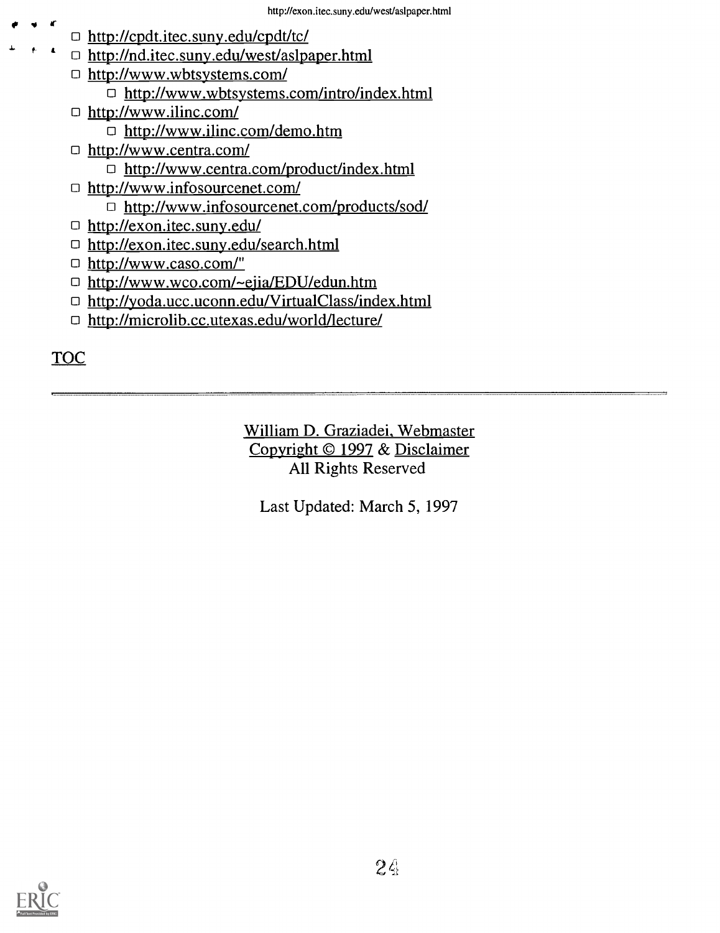- http://cpdt.itec.suny.edu/cpdt/tc/
	- □ http://nd.itec.suny.edu/west/aslpaper.html
	- http://www.wbtsystems.com/ □ http://www.wbtsystems.com/intro/index.html
	- http://www.ilinc.com/ http://www.ilinc.com/demo.htm
	- http://www.centra.com/ □ http://www.centra.com/product/index.html
	- http://www.infosourcenet.com/
		- □ http://www.infosourcenet.com/products/sod/
	- □ http://exon.itec.suny.edu/
	- □ http://exon.itec.suny.edu/search.html
	- □ http://www.caso.com/"
	- □ http://www.wco.com/~ejia/EDU/edun.htm
	- □ http://yoda.ucc.uconn.edu/VirtualClass/index.html
	- http://microlib.cc.utexas.edu/world/lecture/

**TOC** 

f

William D. Graziadei, Webmaster Copyright © 1997 & Disclaimer All Rights Reserved

Last Updated: March 5, 1997